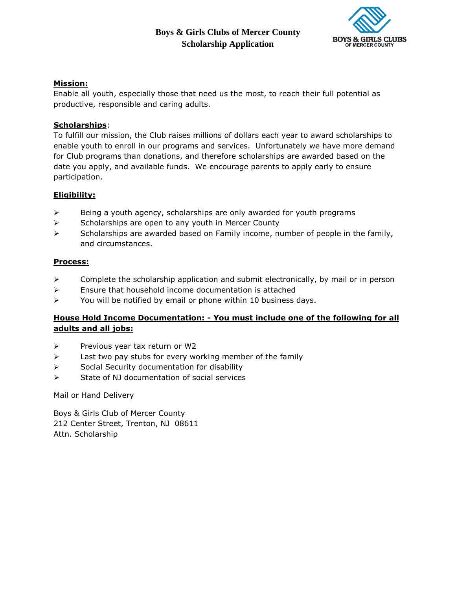# **Boys & Girls Clubs of Mercer County Scholarship Application**



## **Mission:**

Enable all youth, especially those that need us the most, to reach their full potential as productive, responsible and caring adults.

### **Scholarships**:

To fulfill our mission, the Club raises millions of dollars each year to award scholarships to enable youth to enroll in our programs and services. Unfortunately we have more demand for Club programs than donations, and therefore scholarships are awarded based on the date you apply, and available funds. We encourage parents to apply early to ensure participation.

### **Eligibility:**

- $\triangleright$  Being a youth agency, scholarships are only awarded for youth programs
- $\triangleright$  Scholarships are open to any youth in Mercer County
- $\triangleright$  Scholarships are awarded based on Family income, number of people in the family, and circumstances.

### **Process:**

- $\triangleright$  Complete the scholarship application and submit electronically, by mail or in person
- $\triangleright$  Ensure that household income documentation is attached
- $\triangleright$  You will be notified by email or phone within 10 business days.

### **House Hold Income Documentation: - You must include one of the following for all adults and all jobs:**

- $\triangleright$  Previous year tax return or W2
- $\triangleright$  Last two pay stubs for every working member of the family
- $\triangleright$  Social Security documentation for disability
- $\triangleright$  State of NJ documentation of social services

Mail or Hand Delivery

Boys & Girls Club of Mercer County 212 Center Street, Trenton, NJ 08611 Attn. Scholarship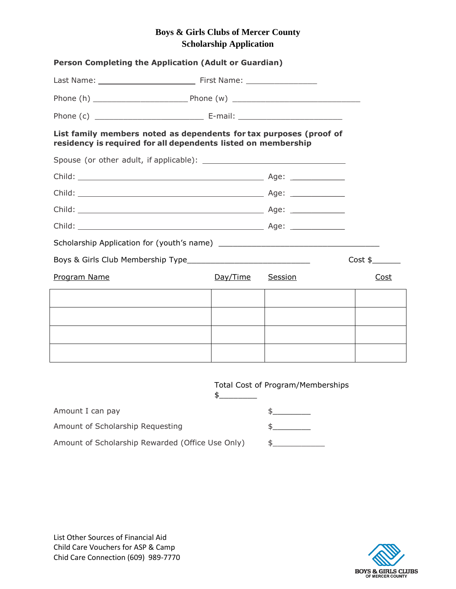# **Boys & Girls Clubs of Mercer County Scholarship Application**

| Person Completing the Application (Adult or Guardian)                                                                               |               |                                   |         |  |
|-------------------------------------------------------------------------------------------------------------------------------------|---------------|-----------------------------------|---------|--|
|                                                                                                                                     |               |                                   |         |  |
|                                                                                                                                     |               |                                   |         |  |
|                                                                                                                                     |               |                                   |         |  |
| List family members noted as dependents for tax purposes (proof of<br>residency is required for all dependents listed on membership |               |                                   |         |  |
|                                                                                                                                     |               |                                   |         |  |
|                                                                                                                                     |               |                                   |         |  |
|                                                                                                                                     |               |                                   |         |  |
|                                                                                                                                     |               |                                   |         |  |
|                                                                                                                                     |               |                                   |         |  |
|                                                                                                                                     |               |                                   |         |  |
|                                                                                                                                     |               |                                   | Cost \$ |  |
| Program Name                                                                                                                        | Day/Time      | Session                           | Cost    |  |
|                                                                                                                                     |               |                                   |         |  |
|                                                                                                                                     |               |                                   |         |  |
|                                                                                                                                     |               |                                   |         |  |
|                                                                                                                                     |               |                                   |         |  |
|                                                                                                                                     | $\frac{1}{2}$ | Total Cost of Program/Memberships |         |  |
| Amount I can pay                                                                                                                    |               | $\frac{1}{2}$                     |         |  |
| Amount of Scholarship Requesting                                                                                                    |               | $\frac{1}{2}$                     |         |  |

Amount of Scholarship Rewarded (Office Use Only) \$\_\_\_\_\_\_\_\_\_\_\_\_\_\_\_\_\_\_\_\_\_\_\_\_\_\_\_\_\_\_



List Other Sources of Financial Aid Child Care Vouchers for ASP & Camp Chid Care Connection (609) 989-7770